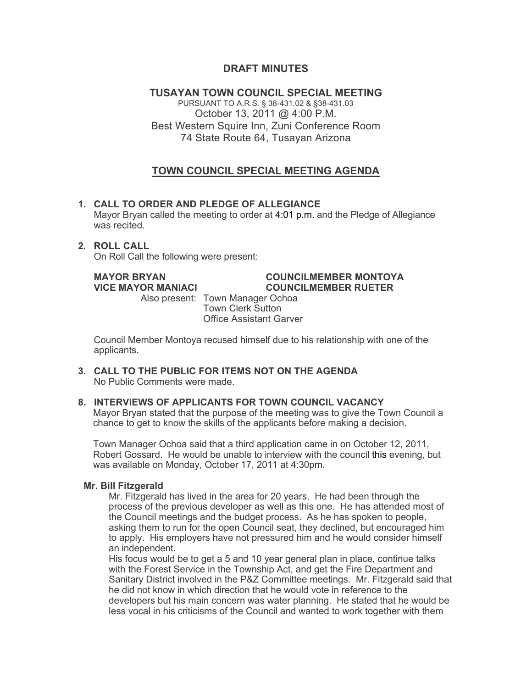# **DRAFT MINUTES**

**TUSAYAN TOWN COUNCIL SPECIAL MEETING** PURSUANT TO A.R.S. § 38-431.02 & §38-431.03 October 13, 2011 @ 4:00 P.M. Best Western Squire Inn, Zuni Conference Room 74 State Route 64, Tusayan Arizona

# **TOWN COUNCIL SPECIAL MEETING AGENDA**

**1. CALL TO ORDER AND PLEDGE OF ALLEGIANCE** Mayor Bryan called the meeting to order at 4:01 p.m. and the Pledge of Allegiance was recited.

#### **2. ROLL CALL** On Roll Call the following were present:

### **MAYOR BRYAN COUNCILMEMBER MONTOYA VICE MAYOR MANIACI COUNCILMEMBER RUETER**

Also present: Town Manager Ochoa Town Clerk Sutton Office Assistant Garver

Council Member Montoya recused himself due to his relationship with one of the applicants.

**3. CALL TO THE PUBLIC FOR ITEMS NOT ON THE AGENDA**  No Public Comments were made.

# **8. INTERVIEWS OF APPLICANTS FOR TOWN COUNCIL VACANCY**

Mayor Bryan stated that the purpose of the meeting was to give the Town Council a chance to get to know the skills of the applicants before making a decision.

Town Manager Ochoa said that a third application came in on October 12, 2011, Robert Gossard. He would be unable to interview with the council this evening, but was available on Monday, October 17, 2011 at 4:30pm.

# **Mr. Bill Fitzgerald**

Mr. Fitzgerald has lived in the area for 20 years. He had been through the process of the previous developer as well as this one. He has attended most of the Council meetings and the budget process. As he has spoken to people, asking them to run for the open Council seat, they declined, but encouraged him to apply. His employers have not pressured him and he would consider himself an independent.

His focus would be to get a 5 and 10 year general plan in place, continue talks with the Forest Service in the Township Act, and get the Fire Department and Sanitary District involved in the P&Z Committee meetings. Mr. Fitzgerald said that he did not know in which direction that he would vote in reference to the developers but his main concern was water planning. He stated that he would be less vocal in his criticisms of the Council and wanted to work together with them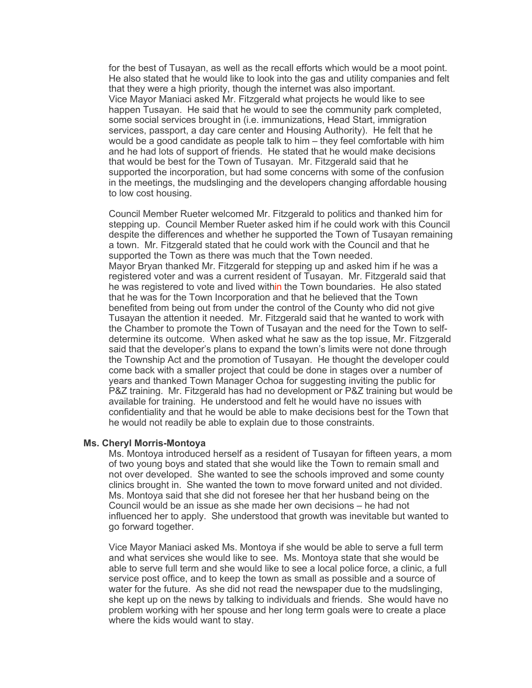for the best of Tusayan, as well as the recall efforts which would be a moot point. He also stated that he would like to look into the gas and utility companies and felt that they were a high priority, though the internet was also important. Vice Mayor Maniaci asked Mr. Fitzgerald what projects he would like to see happen Tusayan. He said that he would to see the community park completed, some social services brought in (i.e. immunizations, Head Start, immigration services, passport, a day care center and Housing Authority). He felt that he would be a good candidate as people talk to him – they feel comfortable with him and he had lots of support of friends. He stated that he would make decisions that would be best for the Town of Tusayan. Mr. Fitzgerald said that he supported the incorporation, but had some concerns with some of the confusion in the meetings, the mudslinging and the developers changing affordable housing to low cost housing.

Council Member Rueter welcomed Mr. Fitzgerald to politics and thanked him for stepping up. Council Member Rueter asked him if he could work with this Council despite the differences and whether he supported the Town of Tusayan remaining a town. Mr. Fitzgerald stated that he could work with the Council and that he supported the Town as there was much that the Town needed. Mayor Bryan thanked Mr. Fitzgerald for stepping up and asked him if he was a registered voter and was a current resident of Tusayan. Mr. Fitzgerald said that he was registered to vote and lived within the Town boundaries. He also stated that he was for the Town Incorporation and that he believed that the Town benefited from being out from under the control of the County who did not give Tusayan the attention it needed. Mr. Fitzgerald said that he wanted to work with the Chamber to promote the Town of Tusayan and the need for the Town to selfdetermine its outcome. When asked what he saw as the top issue, Mr. Fitzgerald said that the developer's plans to expand the town's limits were not done through the Township Act and the promotion of Tusayan. He thought the developer could come back with a smaller project that could be done in stages over a number of years and thanked Town Manager Ochoa for suggesting inviting the public for P&Z training. Mr. Fitzgerald has had no development or P&Z training but would be available for training. He understood and felt he would have no issues with confidentiality and that he would be able to make decisions best for the Town that he would not readily be able to explain due to those constraints.

### **Ms. Cheryl Morris-Montoya**

Ms. Montoya introduced herself as a resident of Tusayan for fifteen years, a mom of two young boys and stated that she would like the Town to remain small and not over developed. She wanted to see the schools improved and some county clinics brought in. She wanted the town to move forward united and not divided. Ms. Montoya said that she did not foresee her that her husband being on the Council would be an issue as she made her own decisions – he had not influenced her to apply. She understood that growth was inevitable but wanted to go forward together.

Vice Mayor Maniaci asked Ms. Montoya if she would be able to serve a full term and what services she would like to see. Ms. Montoya state that she would be able to serve full term and she would like to see a local police force, a clinic, a full service post office, and to keep the town as small as possible and a source of water for the future. As she did not read the newspaper due to the mudslinging, she kept up on the news by talking to individuals and friends. She would have no problem working with her spouse and her long term goals were to create a place where the kids would want to stay.